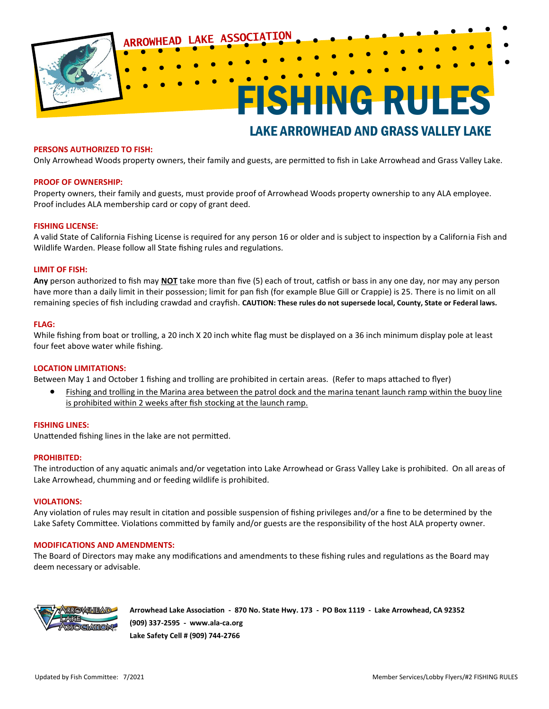

### **PERSONS AUTHORIZED TO FISH:**

Only Arrowhead Woods property owners, their family and guests, are permitted to fish in Lake Arrowhead and Grass Valley Lake.

### **PROOF OF OWNERSHIP:**

Property owners, their family and guests, must provide proof of Arrowhead Woods property ownership to any ALA employee. Proof includes ALA membership card or copy of grant deed*.* 

### **FISHING LICENSE:**

A valid State of California Fishing License is required for any person 16 or older and is subject to inspection by a California Fish and Wildlife Warden. Please follow all State fishing rules and regulations.

### **LIMIT OF FISH:**

**Any** person authorized to fish may **NOT** take more than five (5) each of trout, catfish or bass in any one day, nor may any person have more than a daily limit in their possession; limit for pan fish (for example Blue Gill or Crappie) is 25*.* There is no limit on all remaining species of fish including crawdad and crayfish. **CAUTION: These rules do not supersede local, County, State or Federal laws.** 

### **FLAG:**

While fishing from boat or trolling, a 20 inch X 20 inch white flag must be displayed on a 36 inch minimum display pole at least four feet above water while fishing.

### **LOCATION LIMITATIONS:**

Between May 1 and October 1 fishing and trolling are prohibited in certain areas. (Refer to maps attached to flyer)

• Fishing and trolling in the Marina area between the patrol dock and the marina tenant launch ramp within the buoy line is prohibited within 2 weeks after fish stocking at the launch ramp.

### **FISHING LINES:**

Unattended fishing lines in the lake are not permitted.

### **PROHIBITED:**

The introduction of any aquatic animals and/or vegetation into Lake Arrowhead or Grass Valley Lake is prohibited. On all areas of Lake Arrowhead, chumming and or feeding wildlife is prohibited.

#### **VIOLATIONS:**

Any violation of rules may result in citation and possible suspension of fishing privileges and/or a fine to be determined by the Lake Safety Committee. Violations committed by family and/or guests are the responsibility of the host ALA property owner.

### **MODIFICATIONS AND AMENDMENTS:**

The Board of Directors may make any modifications and amendments to these fishing rules and regulations as the Board may deem necessary or advisable.



**Arrowhead Lake Association - 870 No. State Hwy. 173 - PO Box 1119 - Lake Arrowhead, CA 92352 (909) 337-2595 - www.ala-ca.org Lake Safety Cell # (909) 744-2766**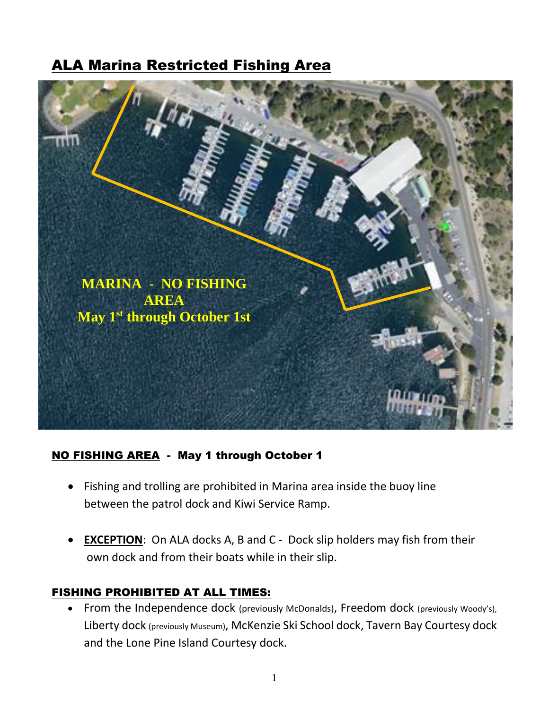# ALA Marina Restricted Fishing Area



## NO FISHING AREA - May 1 through October 1

- Fishing and trolling are prohibited in Marina area inside the buoy line between the patrol dock and Kiwi Service Ramp.
- **EXCEPTION**: On ALA docks A, B and C Dock slip holders may fish from their own dock and from their boats while in their slip.

## FISHING PROHIBITED AT ALL TIMES:

• From the Independence dock (previously McDonalds), Freedom dock (previously Woody's), Liberty dock (previously Museum), McKenzie Ski School dock, Tavern Bay Courtesy dock and the Lone Pine Island Courtesy dock.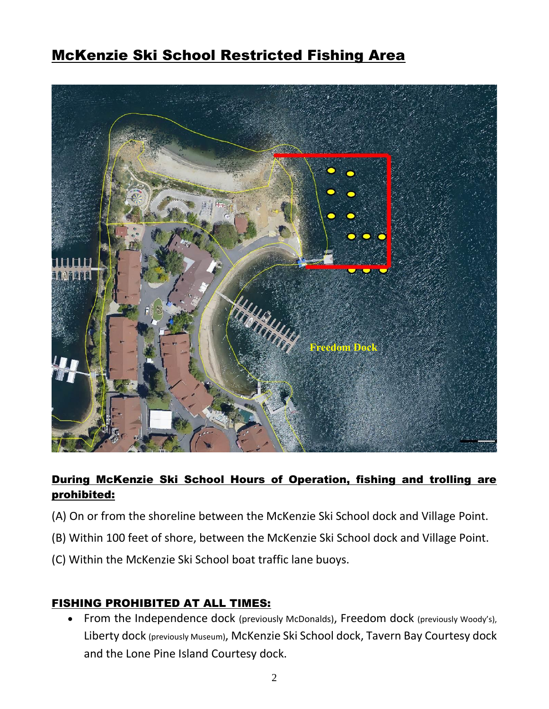# McKenzie Ski School Restricted Fishing Area



# During McKenzie Ski School Hours of Operation, fishing and trolling are prohibited:

- (A) On or from the shoreline between the McKenzie Ski School dock and Village Point.
- (B) Within 100 feet of shore, between the McKenzie Ski School dock and Village Point.
- (C) Within the McKenzie Ski School boat traffic lane buoys.

### FISHING PROHIBITED AT ALL TIMES:

• From the Independence dock (previously McDonalds), Freedom dock (previously Woody's), Liberty dock (previously Museum), McKenzie Ski School dock, Tavern Bay Courtesy dock and the Lone Pine Island Courtesy dock.